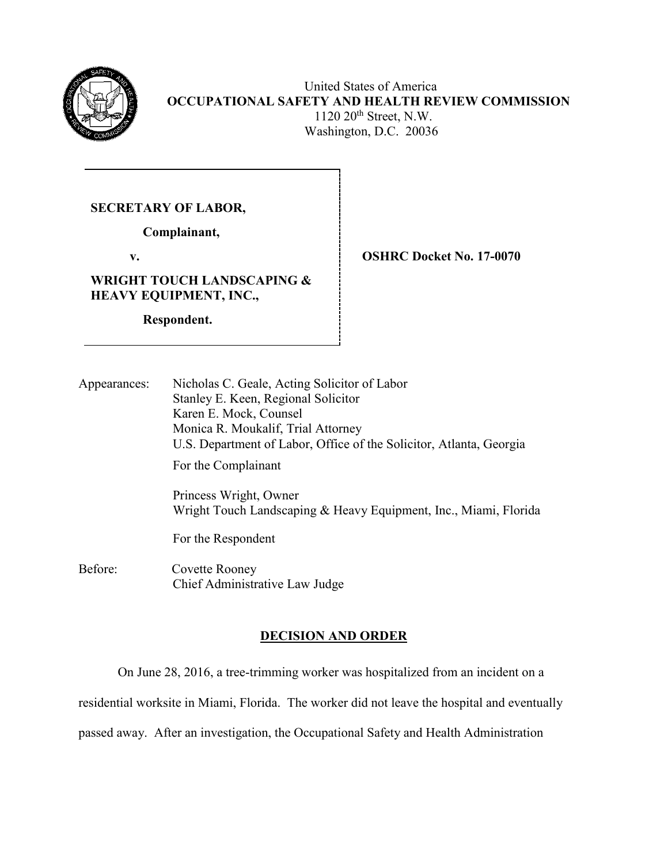

 United States of America **OCCUPATIONAL SAFETY AND HEALTH REVIEW COMMISSION** 1120 20<sup>th</sup> Street, N.W. Washington, D.C. 20036

**SECRETARY OF LABOR,**

 **Complainant,**

 **v. OSHRC Docket No. 17-0070**

**WRIGHT TOUCH LANDSCAPING & HEAVY EQUIPMENT, INC.,** 

 **Respondent.**

| Appearances: | Nicholas C. Geale, Acting Solicitor of Labor<br>Stanley E. Keen, Regional Solicitor<br>Karen E. Mock, Counsel<br>Monica R. Moukalif, Trial Attorney<br>U.S. Department of Labor, Office of the Solicitor, Atlanta, Georgia |
|--------------|----------------------------------------------------------------------------------------------------------------------------------------------------------------------------------------------------------------------------|
|              | For the Complainant                                                                                                                                                                                                        |
|              | Princess Wright, Owner<br>Wright Touch Landscaping & Heavy Equipment, Inc., Miami, Florida                                                                                                                                 |
|              | For the Respondent                                                                                                                                                                                                         |

Before: Covette Rooney Chief Administrative Law Judge

# **DECISION AND ORDER**

On June 28, 2016, a tree-trimming worker was hospitalized from an incident on a

residential worksite in Miami, Florida. The worker did not leave the hospital and eventually

passed away. After an investigation, the Occupational Safety and Health Administration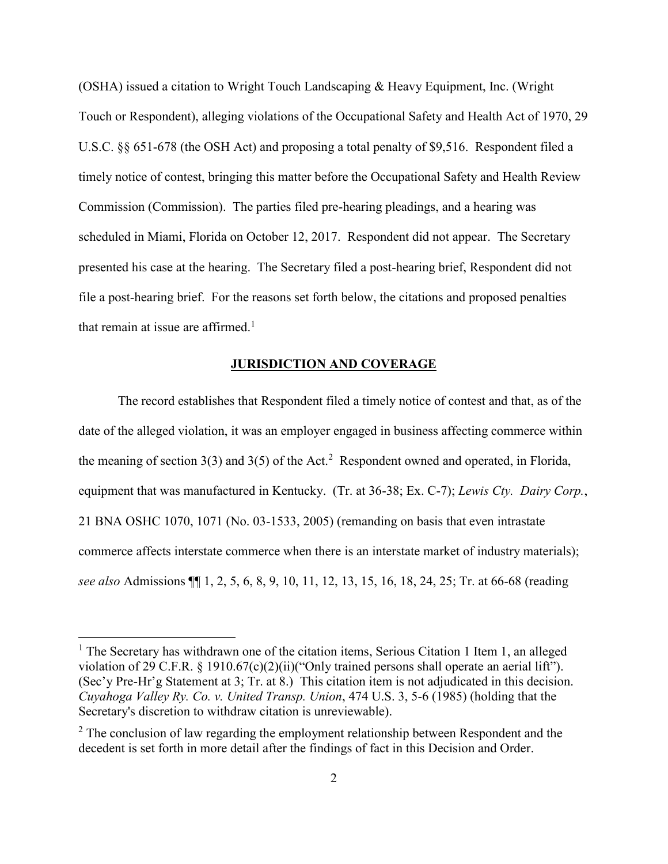(OSHA) issued a citation to Wright Touch Landscaping & Heavy Equipment, Inc. (Wright Touch or Respondent), alleging violations of the Occupational Safety and Health Act of 1970, 29 U.S.C. §§ 651-678 (the OSH Act) and proposing a total penalty of \$9,516. Respondent filed a timely notice of contest, bringing this matter before the Occupational Safety and Health Review Commission (Commission). The parties filed pre-hearing pleadings, and a hearing was scheduled in Miami, Florida on October 12, 2017. Respondent did not appear. The Secretary presented his case at the hearing. The Secretary filed a post-hearing brief, Respondent did not file a post-hearing brief. For the reasons set forth below, the citations and proposed penalties that remain at issue are affirmed.<sup>1</sup>

## **JURISDICTION AND COVERAGE**

The record establishes that Respondent filed a timely notice of contest and that, as of the date of the alleged violation, it was an employer engaged in business affecting commerce within the meaning of section  $3(3)$  and  $3(5)$  of the Act.<sup>2</sup> Respondent owned and operated, in Florida, equipment that was manufactured in Kentucky. (Tr. at 36-38; Ex. C-7); *Lewis Cty. Dairy Corp.*, 21 BNA OSHC 1070, 1071 (No. 03-1533, 2005) (remanding on basis that even intrastate commerce affects interstate commerce when there is an interstate market of industry materials); *see also* Admissions ¶¶ 1, 2, 5, 6, 8, 9, 10, 11, 12, 13, 15, 16, 18, 24, 25; Tr. at 66-68 (reading

 $1$  The Secretary has withdrawn one of the citation items, Serious Citation 1 Item 1, an alleged violation of 29 C.F.R. § 1910.67(c)(2)(ii)("Only trained persons shall operate an aerial lift"). (Sec'y Pre-Hr'g Statement at 3; Tr. at 8.) This citation item is not adjudicated in this decision. *Cuyahoga Valley Ry. Co. v. United Transp. Union*, 474 U.S. 3, 5-6 (1985) (holding that the Secretary's discretion to withdraw citation is unreviewable).

 $2$  The conclusion of law regarding the employment relationship between Respondent and the decedent is set forth in more detail after the findings of fact in this Decision and Order.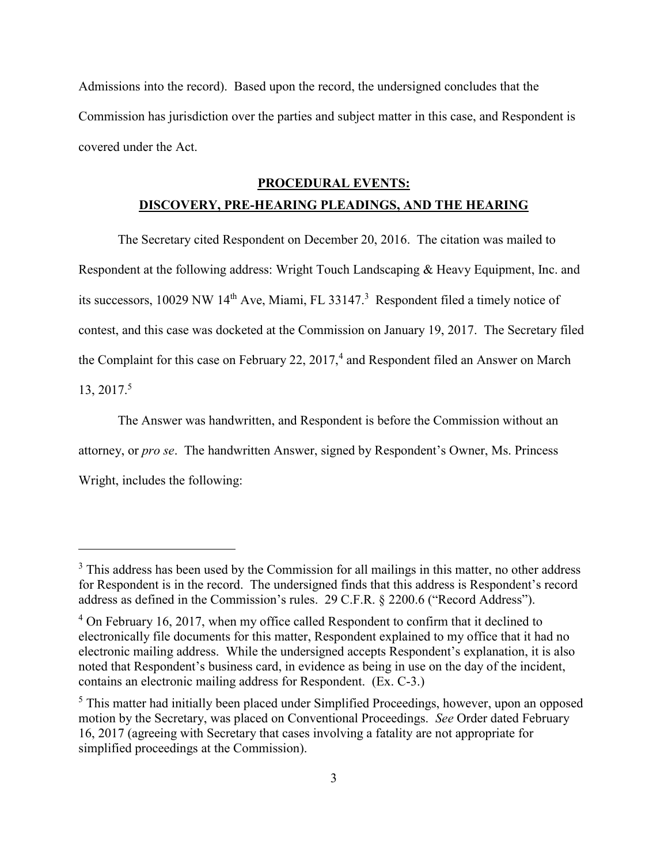Admissions into the record). Based upon the record, the undersigned concludes that the Commission has jurisdiction over the parties and subject matter in this case, and Respondent is covered under the Act.

# **PROCEDURAL EVENTS:**

# **DISCOVERY, PRE-HEARING PLEADINGS, AND THE HEARING**

The Secretary cited Respondent on December 20, 2016. The citation was mailed to Respondent at the following address: Wright Touch Landscaping & Heavy Equipment, Inc. and its successors, 10029 NW 14<sup>th</sup> Ave, Miami, FL 33147.<sup>3</sup> Respondent filed a timely notice of contest, and this case was docketed at the Commission on January 19, 2017. The Secretary filed the Complaint for this case on February 22,  $2017<sup>4</sup>$  and Respondent filed an Answer on March 13, 2017.<sup>5</sup>

The Answer was handwritten, and Respondent is before the Commission without an attorney, or *pro se*. The handwritten Answer, signed by Respondent's Owner, Ms. Princess Wright, includes the following:

<sup>&</sup>lt;sup>3</sup> This address has been used by the Commission for all mailings in this matter, no other address for Respondent is in the record. The undersigned finds that this address is Respondent's record address as defined in the Commission's rules. 29 C.F.R. § 2200.6 ("Record Address").

<sup>&</sup>lt;sup>4</sup> On February 16, 2017, when my office called Respondent to confirm that it declined to electronically file documents for this matter, Respondent explained to my office that it had no electronic mailing address. While the undersigned accepts Respondent's explanation, it is also noted that Respondent's business card, in evidence as being in use on the day of the incident, contains an electronic mailing address for Respondent. (Ex. C-3.)

<sup>&</sup>lt;sup>5</sup> This matter had initially been placed under Simplified Proceedings, however, upon an opposed motion by the Secretary, was placed on Conventional Proceedings. *See* Order dated February 16, 2017 (agreeing with Secretary that cases involving a fatality are not appropriate for simplified proceedings at the Commission).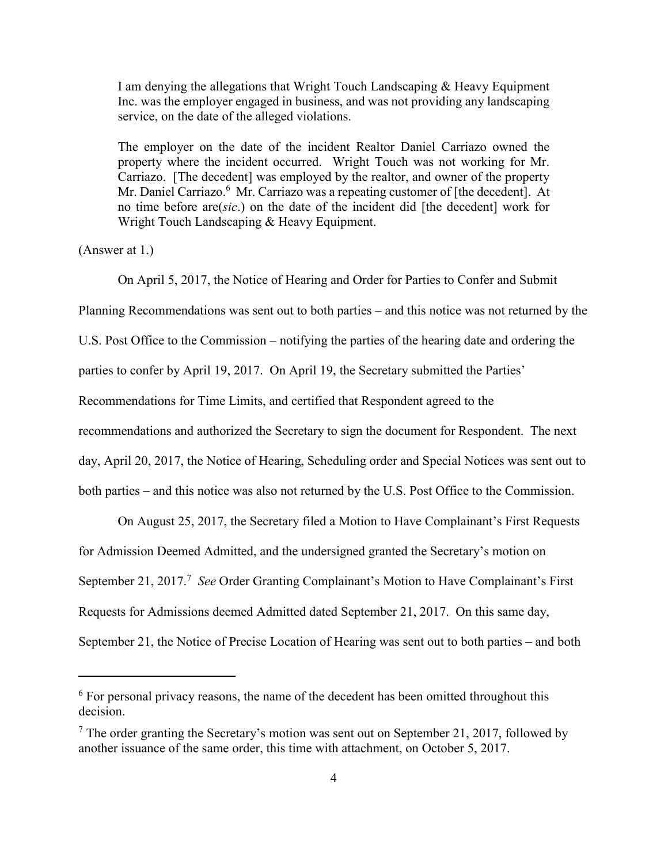I am denying the allegations that Wright Touch Landscaping & Heavy Equipment Inc. was the employer engaged in business, and was not providing any landscaping service, on the date of the alleged violations.

The employer on the date of the incident Realtor Daniel Carriazo owned the property where the incident occurred. Wright Touch was not working for Mr. Carriazo. [The decedent] was employed by the realtor, and owner of the property Mr. Daniel Carriazo.<sup>6</sup> Mr. Carriazo was a repeating customer of [the decedent]. At no time before are(*sic*.) on the date of the incident did [the decedent] work for Wright Touch Landscaping & Heavy Equipment.

(Answer at 1.)

 $\overline{a}$ 

On April 5, 2017, the Notice of Hearing and Order for Parties to Confer and Submit

Planning Recommendations was sent out to both parties – and this notice was not returned by the

U.S. Post Office to the Commission – notifying the parties of the hearing date and ordering the

parties to confer by April 19, 2017. On April 19, the Secretary submitted the Parties'

Recommendations for Time Limits, and certified that Respondent agreed to the

recommendations and authorized the Secretary to sign the document for Respondent. The next

day, April 20, 2017, the Notice of Hearing, Scheduling order and Special Notices was sent out to

both parties – and this notice was also not returned by the U.S. Post Office to the Commission.

On August 25, 2017, the Secretary filed a Motion to Have Complainant's First Requests

for Admission Deemed Admitted, and the undersigned granted the Secretary's motion on

September 21, 2017.<sup>7</sup> See Order Granting Complainant's Motion to Have Complainant's First

Requests for Admissions deemed Admitted dated September 21, 2017. On this same day,

September 21, the Notice of Precise Location of Hearing was sent out to both parties – and both

 $6$  For personal privacy reasons, the name of the decedent has been omitted throughout this decision.

 $<sup>7</sup>$  The order granting the Secretary's motion was sent out on September 21, 2017, followed by</sup> another issuance of the same order, this time with attachment, on October 5, 2017.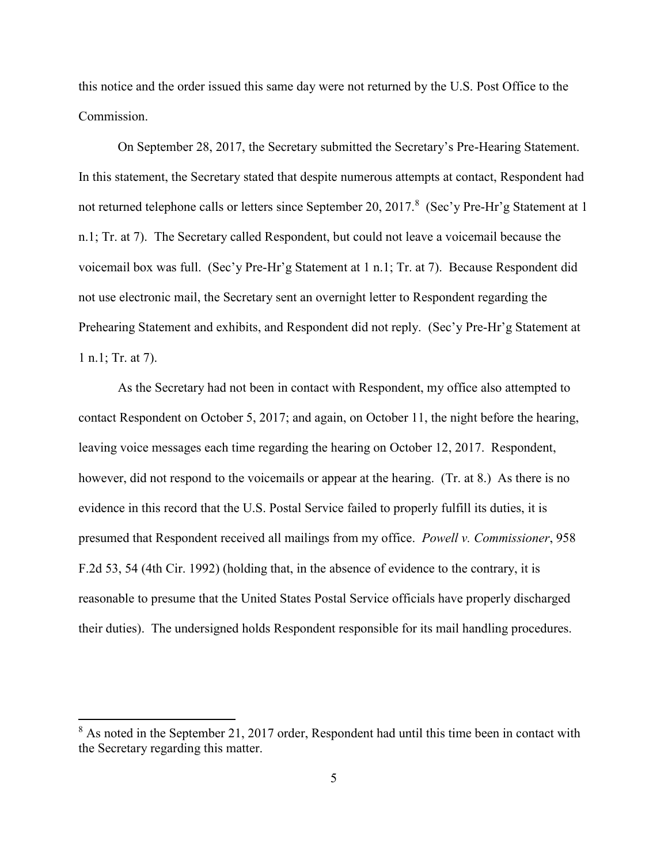this notice and the order issued this same day were not returned by the U.S. Post Office to the Commission.

On September 28, 2017, the Secretary submitted the Secretary's Pre-Hearing Statement. In this statement, the Secretary stated that despite numerous attempts at contact, Respondent had not returned telephone calls or letters since September 20, 2017.<sup>8</sup> (Sec'y Pre-Hr'g Statement at 1 n.1; Tr. at 7). The Secretary called Respondent, but could not leave a voicemail because the voicemail box was full. (Sec'y Pre-Hr'g Statement at 1 n.1; Tr. at 7). Because Respondent did not use electronic mail, the Secretary sent an overnight letter to Respondent regarding the Prehearing Statement and exhibits, and Respondent did not reply. (Sec'y Pre-Hr'g Statement at 1 n.1; Tr. at 7).

As the Secretary had not been in contact with Respondent, my office also attempted to contact Respondent on October 5, 2017; and again, on October 11, the night before the hearing, leaving voice messages each time regarding the hearing on October 12, 2017. Respondent, however, did not respond to the voicemails or appear at the hearing. (Tr. at 8.) As there is no evidence in this record that the U.S. Postal Service failed to properly fulfill its duties, it is presumed that Respondent received all mailings from my office. *Powell v. Commissioner*, 958 F.2d 53, 54 (4th Cir. 1992) (holding that, in the absence of evidence to the contrary, it is reasonable to presume that the United States Postal Service officials have properly discharged their duties). The undersigned holds Respondent responsible for its mail handling procedures.

 $8$  As noted in the September 21, 2017 order, Respondent had until this time been in contact with the Secretary regarding this matter.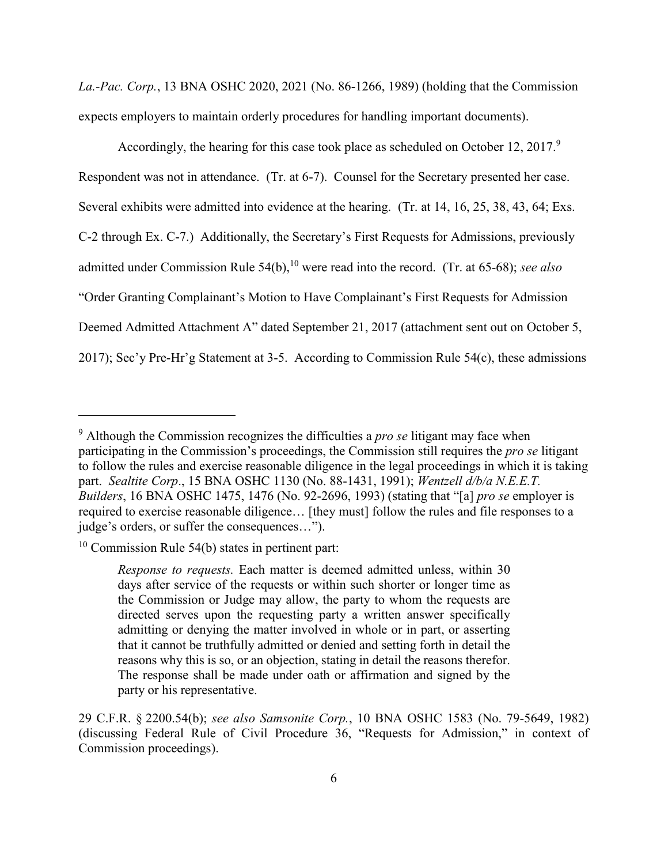*La.-Pac. Corp.*, 13 BNA OSHC 2020, 2021 (No. 86-1266, 1989) (holding that the Commission expects employers to maintain orderly procedures for handling important documents).

Accordingly, the hearing for this case took place as scheduled on October 12, 2017.<sup>9</sup> Respondent was not in attendance. (Tr. at 6-7). Counsel for the Secretary presented her case. Several exhibits were admitted into evidence at the hearing. (Tr. at 14, 16, 25, 38, 43, 64; Exs. C-2 through Ex. C-7.) Additionally, the Secretary's First Requests for Admissions, previously admitted under Commission Rule 54(b),<sup>10</sup> were read into the record. (Tr. at 65-68); *see also* "Order Granting Complainant's Motion to Have Complainant's First Requests for Admission Deemed Admitted Attachment A" dated September 21, 2017 (attachment sent out on October 5, 2017); Sec'y Pre-Hr'g Statement at 3-5. According to Commission Rule 54(c), these admissions

<sup>9</sup> Although the Commission recognizes the difficulties a *pro se* litigant may face when participating in the Commission's proceedings, the Commission still requires the *pro se* litigant to follow the rules and exercise reasonable diligence in the legal proceedings in which it is taking part. *Sealtite Corp*., 15 BNA OSHC 1130 (No. 88-1431, 1991); *Wentzell d/b/a N.E.E.T. Builders*, 16 BNA OSHC 1475, 1476 (No. 92-2696, 1993) (stating that "[a] *pro se* employer is required to exercise reasonable diligence… [they must] follow the rules and file responses to a judge's orders, or suffer the consequences…").

 $10$  Commission Rule 54(b) states in pertinent part:

*Response to requests.* Each matter is deemed admitted unless, within 30 days after service of the requests or within such shorter or longer time as the Commission or Judge may allow, the party to whom the requests are directed serves upon the requesting party a written answer specifically admitting or denying the matter involved in whole or in part, or asserting that it cannot be truthfully admitted or denied and setting forth in detail the reasons why this is so, or an objection, stating in detail the reasons therefor. The response shall be made under oath or affirmation and signed by the party or his representative.

<sup>29</sup> C.F.R. § 2200.54(b); *see also Samsonite Corp.*, 10 BNA OSHC 1583 (No. 79-5649, 1982) (discussing Federal Rule of Civil Procedure 36, "Requests for Admission," in context of Commission proceedings).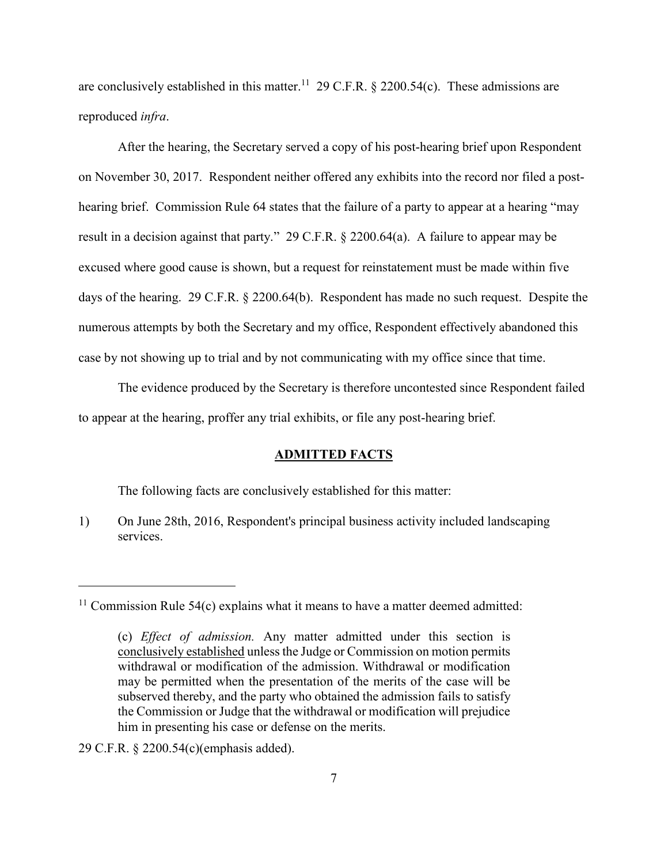are conclusively established in this matter.<sup>11</sup> 29 C.F.R.  $\S$  2200.54(c). These admissions are reproduced *infra*.

After the hearing, the Secretary served a copy of his post-hearing brief upon Respondent on November 30, 2017. Respondent neither offered any exhibits into the record nor filed a posthearing brief. Commission Rule 64 states that the failure of a party to appear at a hearing "may result in a decision against that party." 29 C.F.R. § 2200.64(a). A failure to appear may be excused where good cause is shown, but a request for reinstatement must be made within five days of the hearing. 29 C.F.R. § 2200.64(b). Respondent has made no such request. Despite the numerous attempts by both the Secretary and my office, Respondent effectively abandoned this case by not showing up to trial and by not communicating with my office since that time.

The evidence produced by the Secretary is therefore uncontested since Respondent failed to appear at the hearing, proffer any trial exhibits, or file any post-hearing brief.

## **ADMITTED FACTS**

The following facts are conclusively established for this matter:

1) On June 28th, 2016, Respondent's principal business activity included landscaping services.

 $11$  Commission Rule 54(c) explains what it means to have a matter deemed admitted:

<sup>(</sup>c) *Effect of admission.* Any matter admitted under this section is conclusively established unless the Judge or Commission on motion permits withdrawal or modification of the admission. Withdrawal or modification may be permitted when the presentation of the merits of the case will be subserved thereby, and the party who obtained the admission fails to satisfy the Commission or Judge that the withdrawal or modification will prejudice him in presenting his case or defense on the merits.

<sup>29</sup> C.F.R. § 2200.54(c)(emphasis added).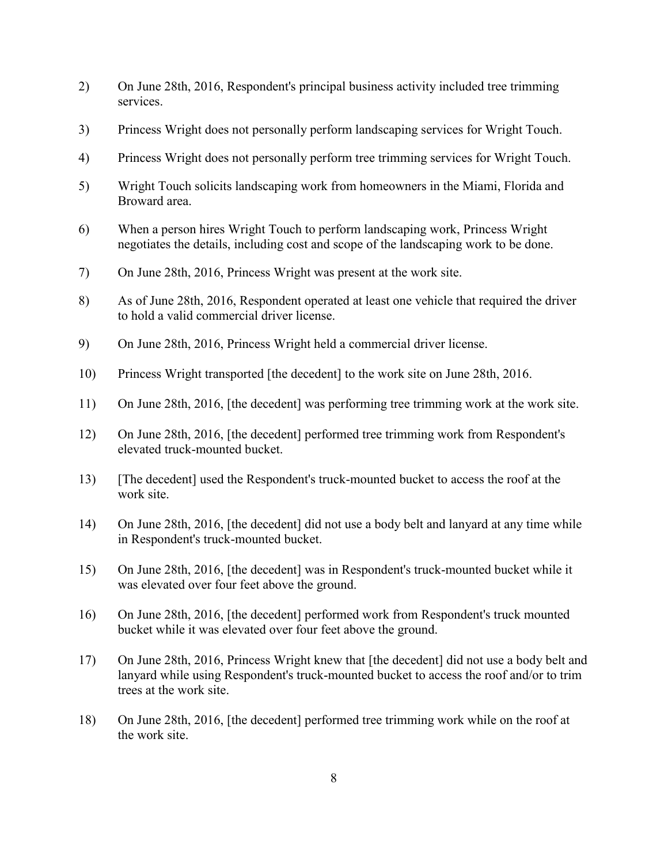- 2) On June 28th, 2016, Respondent's principal business activity included tree trimming services.
- 3) Princess Wright does not personally perform landscaping services for Wright Touch.
- 4) Princess Wright does not personally perform tree trimming services for Wright Touch.
- 5) Wright Touch solicits landscaping work from homeowners in the Miami, Florida and Broward area.
- 6) When a person hires Wright Touch to perform landscaping work, Princess Wright negotiates the details, including cost and scope of the landscaping work to be done.
- 7) On June 28th, 2016, Princess Wright was present at the work site.
- 8) As of June 28th, 2016, Respondent operated at least one vehicle that required the driver to hold a valid commercial driver license.
- 9) On June 28th, 2016, Princess Wright held a commercial driver license.
- 10) Princess Wright transported [the decedent] to the work site on June 28th, 2016.
- 11) On June 28th, 2016, [the decedent] was performing tree trimming work at the work site.
- 12) On June 28th, 2016, [the decedent] performed tree trimming work from Respondent's elevated truck-mounted bucket.
- 13) [The decedent] used the Respondent's truck-mounted bucket to access the roof at the work site.
- 14) On June 28th, 2016, [the decedent] did not use a body belt and lanyard at any time while in Respondent's truck-mounted bucket.
- 15) On June 28th, 2016, [the decedent] was in Respondent's truck-mounted bucket while it was elevated over four feet above the ground.
- 16) On June 28th, 2016, [the decedent] performed work from Respondent's truck mounted bucket while it was elevated over four feet above the ground.
- 17) On June 28th, 2016, Princess Wright knew that [the decedent] did not use a body belt and lanyard while using Respondent's truck-mounted bucket to access the roof and/or to trim trees at the work site.
- 18) On June 28th, 2016, [the decedent] performed tree trimming work while on the roof at the work site.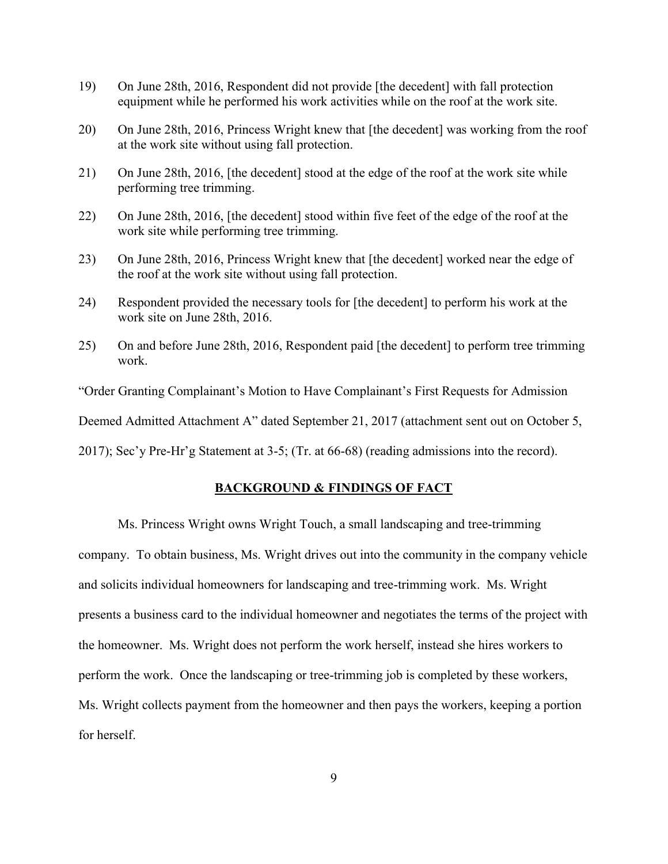- 19) On June 28th, 2016, Respondent did not provide [the decedent] with fall protection equipment while he performed his work activities while on the roof at the work site.
- 20) On June 28th, 2016, Princess Wright knew that [the decedent] was working from the roof at the work site without using fall protection.
- 21) On June 28th, 2016, [the decedent] stood at the edge of the roof at the work site while performing tree trimming.
- 22) On June 28th, 2016, [the decedent] stood within five feet of the edge of the roof at the work site while performing tree trimming.
- 23) On June 28th, 2016, Princess Wright knew that [the decedent] worked near the edge of the roof at the work site without using fall protection.
- 24) Respondent provided the necessary tools for [the decedent] to perform his work at the work site on June 28th, 2016.
- 25) On and before June 28th, 2016, Respondent paid [the decedent] to perform tree trimming work.

"Order Granting Complainant's Motion to Have Complainant's First Requests for Admission

Deemed Admitted Attachment A" dated September 21, 2017 (attachment sent out on October 5,

2017); Sec'y Pre-Hr'g Statement at 3-5; (Tr. at 66-68) (reading admissions into the record).

### **BACKGROUND & FINDINGS OF FACT**

Ms. Princess Wright owns Wright Touch, a small landscaping and tree-trimming company. To obtain business, Ms. Wright drives out into the community in the company vehicle and solicits individual homeowners for landscaping and tree-trimming work. Ms. Wright presents a business card to the individual homeowner and negotiates the terms of the project with the homeowner. Ms. Wright does not perform the work herself, instead she hires workers to perform the work. Once the landscaping or tree-trimming job is completed by these workers, Ms. Wright collects payment from the homeowner and then pays the workers, keeping a portion for herself.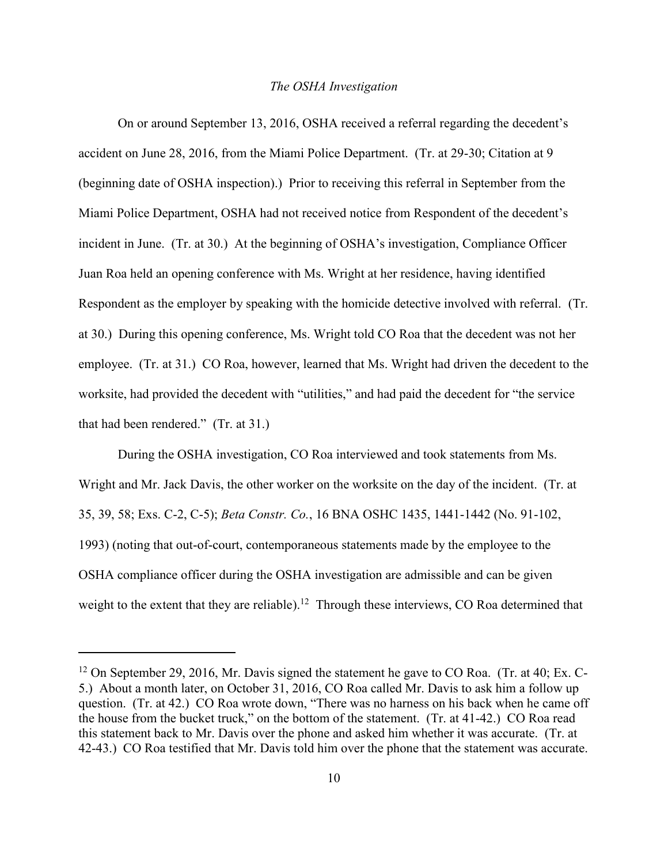#### *The OSHA Investigation*

On or around September 13, 2016, OSHA received a referral regarding the decedent's accident on June 28, 2016, from the Miami Police Department. (Tr. at 29-30; Citation at 9 (beginning date of OSHA inspection).) Prior to receiving this referral in September from the Miami Police Department, OSHA had not received notice from Respondent of the decedent's incident in June. (Tr. at 30.) At the beginning of OSHA's investigation, Compliance Officer Juan Roa held an opening conference with Ms. Wright at her residence, having identified Respondent as the employer by speaking with the homicide detective involved with referral. (Tr. at 30.) During this opening conference, Ms. Wright told CO Roa that the decedent was not her employee. (Tr. at 31.) CO Roa, however, learned that Ms. Wright had driven the decedent to the worksite, had provided the decedent with "utilities," and had paid the decedent for "the service that had been rendered." (Tr. at 31.)

During the OSHA investigation, CO Roa interviewed and took statements from Ms. Wright and Mr. Jack Davis, the other worker on the worksite on the day of the incident. (Tr. at 35, 39, 58; Exs. C-2, C-5); *Beta Constr. Co.*, 16 BNA OSHC 1435, 1441-1442 (No. 91-102, 1993) (noting that out-of-court, contemporaneous statements made by the employee to the OSHA compliance officer during the OSHA investigation are admissible and can be given weight to the extent that they are reliable).<sup>12</sup> Through these interviews, CO Roa determined that

 $12$  On September 29, 2016, Mr. Davis signed the statement he gave to CO Roa. (Tr. at 40; Ex. C-5.) About a month later, on October 31, 2016, CO Roa called Mr. Davis to ask him a follow up question. (Tr. at 42.) CO Roa wrote down, "There was no harness on his back when he came off the house from the bucket truck," on the bottom of the statement. (Tr. at 41-42.) CO Roa read this statement back to Mr. Davis over the phone and asked him whether it was accurate. (Tr. at 42-43.) CO Roa testified that Mr. Davis told him over the phone that the statement was accurate.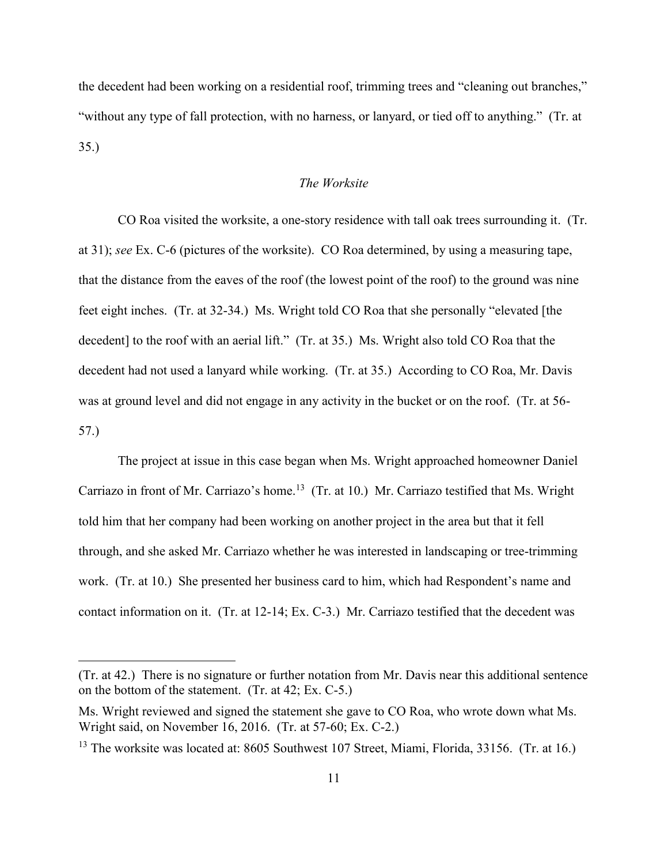the decedent had been working on a residential roof, trimming trees and "cleaning out branches," "without any type of fall protection, with no harness, or lanyard, or tied off to anything." (Tr. at 35.)

### *The Worksite*

CO Roa visited the worksite, a one-story residence with tall oak trees surrounding it. (Tr. at 31); *see* Ex. C-6 (pictures of the worksite). CO Roa determined, by using a measuring tape, that the distance from the eaves of the roof (the lowest point of the roof) to the ground was nine feet eight inches. (Tr. at 32-34.) Ms. Wright told CO Roa that she personally "elevated [the decedent] to the roof with an aerial lift." (Tr. at 35.) Ms. Wright also told CO Roa that the decedent had not used a lanyard while working. (Tr. at 35.) According to CO Roa, Mr. Davis was at ground level and did not engage in any activity in the bucket or on the roof. (Tr. at 56- 57.)

The project at issue in this case began when Ms. Wright approached homeowner Daniel Carriazo in front of Mr. Carriazo's home.<sup>13</sup> (Tr. at 10.) Mr. Carriazo testified that Ms. Wright told him that her company had been working on another project in the area but that it fell through, and she asked Mr. Carriazo whether he was interested in landscaping or tree-trimming work. (Tr. at 10.) She presented her business card to him, which had Respondent's name and contact information on it. (Tr. at 12-14; Ex. C-3.) Mr. Carriazo testified that the decedent was

<sup>(</sup>Tr. at 42.) There is no signature or further notation from Mr. Davis near this additional sentence on the bottom of the statement. (Tr. at 42; Ex. C-5.)

Ms. Wright reviewed and signed the statement she gave to CO Roa, who wrote down what Ms. Wright said, on November 16, 2016. (Tr. at 57-60; Ex. C-2.)

<sup>&</sup>lt;sup>13</sup> The worksite was located at: 8605 Southwest 107 Street, Miami, Florida, 33156. (Tr. at 16.)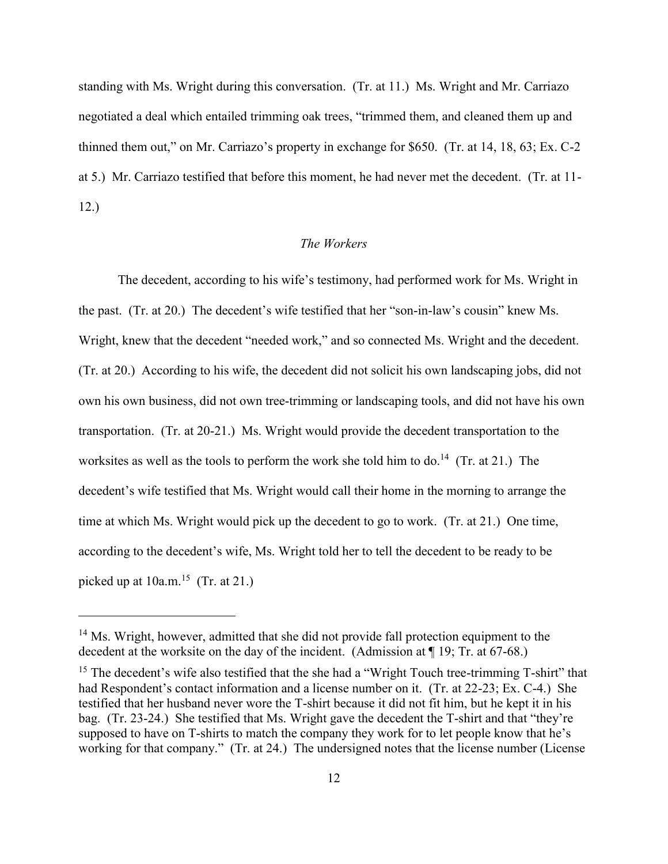standing with Ms. Wright during this conversation. (Tr. at 11.) Ms. Wright and Mr. Carriazo negotiated a deal which entailed trimming oak trees, "trimmed them, and cleaned them up and thinned them out," on Mr. Carriazo's property in exchange for \$650. (Tr. at 14, 18, 63; Ex. C-2 at 5.) Mr. Carriazo testified that before this moment, he had never met the decedent. (Tr. at 11- 12.)

# *The Workers*

The decedent, according to his wife's testimony, had performed work for Ms. Wright in the past. (Tr. at 20.) The decedent's wife testified that her "son-in-law's cousin" knew Ms. Wright, knew that the decedent "needed work," and so connected Ms. Wright and the decedent. (Tr. at 20.) According to his wife, the decedent did not solicit his own landscaping jobs, did not own his own business, did not own tree-trimming or landscaping tools, and did not have his own transportation. (Tr. at 20-21.) Ms. Wright would provide the decedent transportation to the worksites as well as the tools to perform the work she told him to do.<sup>14</sup> (Tr. at 21.) The decedent's wife testified that Ms. Wright would call their home in the morning to arrange the time at which Ms. Wright would pick up the decedent to go to work. (Tr. at 21.) One time, according to the decedent's wife, Ms. Wright told her to tell the decedent to be ready to be picked up at  $10a.m.<sup>15</sup>$  (Tr. at 21.)

<sup>&</sup>lt;sup>14</sup> Ms. Wright, however, admitted that she did not provide fall protection equipment to the decedent at the worksite on the day of the incident. (Admission at ¶ 19; Tr. at 67-68.)

<sup>&</sup>lt;sup>15</sup> The decedent's wife also testified that the she had a "Wright Touch tree-trimming  $T\text{-}shirt$ " that had Respondent's contact information and a license number on it. (Tr. at 22-23; Ex. C-4.) She testified that her husband never wore the T-shirt because it did not fit him, but he kept it in his bag. (Tr. 23-24.) She testified that Ms. Wright gave the decedent the T-shirt and that "they're supposed to have on T-shirts to match the company they work for to let people know that he's working for that company." (Tr. at 24.) The undersigned notes that the license number (License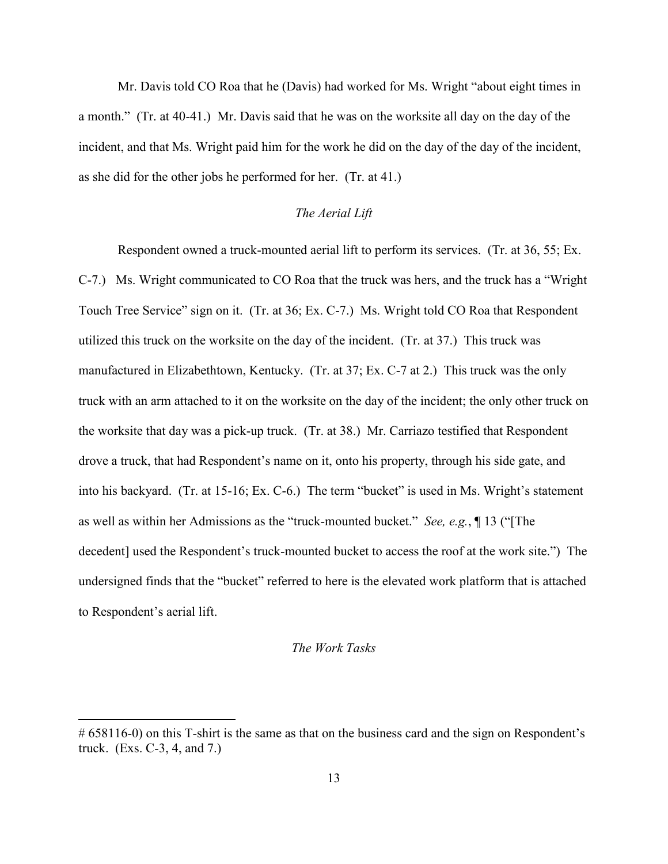Mr. Davis told CO Roa that he (Davis) had worked for Ms. Wright "about eight times in a month." (Tr. at 40-41.) Mr. Davis said that he was on the worksite all day on the day of the incident, and that Ms. Wright paid him for the work he did on the day of the day of the incident, as she did for the other jobs he performed for her. (Tr. at 41.)

### *The Aerial Lift*

Respondent owned a truck-mounted aerial lift to perform its services. (Tr. at 36, 55; Ex. C-7.) Ms. Wright communicated to CO Roa that the truck was hers, and the truck has a "Wright Touch Tree Service" sign on it. (Tr. at 36; Ex. C-7.) Ms. Wright told CO Roa that Respondent utilized this truck on the worksite on the day of the incident. (Tr. at 37.) This truck was manufactured in Elizabethtown, Kentucky. (Tr. at 37; Ex. C-7 at 2.) This truck was the only truck with an arm attached to it on the worksite on the day of the incident; the only other truck on the worksite that day was a pick-up truck. (Tr. at 38.) Mr. Carriazo testified that Respondent drove a truck, that had Respondent's name on it, onto his property, through his side gate, and into his backyard. (Tr. at 15-16; Ex. C-6.) The term "bucket" is used in Ms. Wright's statement as well as within her Admissions as the "truck-mounted bucket." *See, e.g.*, ¶ 13 ("[The decedent] used the Respondent's truck-mounted bucket to access the roof at the work site.") The undersigned finds that the "bucket" referred to here is the elevated work platform that is attached to Respondent's aerial lift.

### *The Work Tasks*

<sup># 658116-0)</sup> on this T-shirt is the same as that on the business card and the sign on Respondent's truck. (Exs. C-3, 4, and 7.)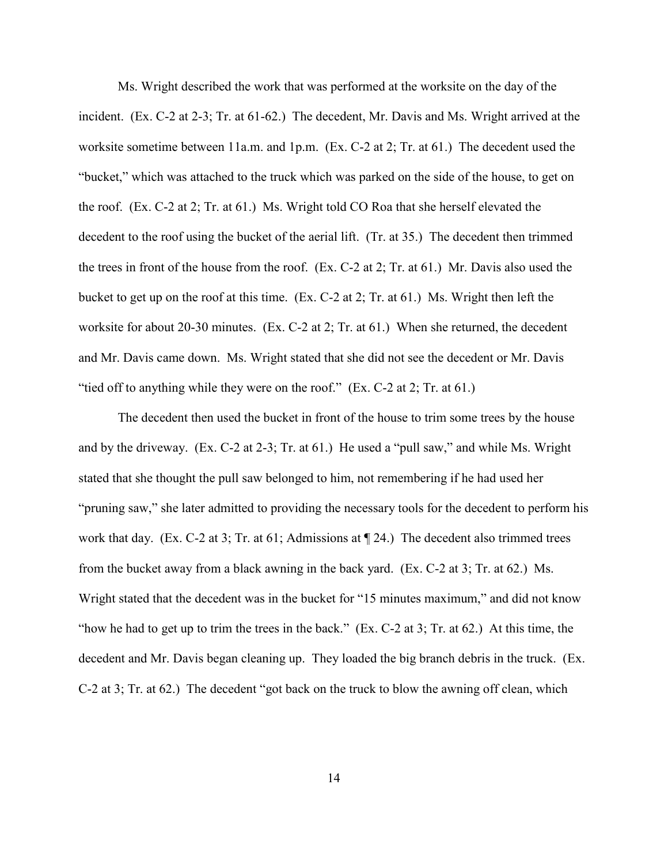Ms. Wright described the work that was performed at the worksite on the day of the incident. (Ex. C-2 at 2-3; Tr. at 61-62.) The decedent, Mr. Davis and Ms. Wright arrived at the worksite sometime between 11a.m. and 1p.m. (Ex. C-2 at 2; Tr. at 61.) The decedent used the "bucket," which was attached to the truck which was parked on the side of the house, to get on the roof. (Ex. C-2 at 2; Tr. at 61.) Ms. Wright told CO Roa that she herself elevated the decedent to the roof using the bucket of the aerial lift. (Tr. at 35.) The decedent then trimmed the trees in front of the house from the roof. (Ex. C-2 at 2; Tr. at 61.) Mr. Davis also used the bucket to get up on the roof at this time. (Ex. C-2 at 2; Tr. at 61.) Ms. Wright then left the worksite for about 20-30 minutes. (Ex. C-2 at 2; Tr. at 61.) When she returned, the decedent and Mr. Davis came down. Ms. Wright stated that she did not see the decedent or Mr. Davis "tied off to anything while they were on the roof." (Ex. C-2 at 2; Tr. at 61.)

The decedent then used the bucket in front of the house to trim some trees by the house and by the driveway. (Ex. C-2 at 2-3; Tr. at 61.) He used a "pull saw," and while Ms. Wright stated that she thought the pull saw belonged to him, not remembering if he had used her "pruning saw," she later admitted to providing the necessary tools for the decedent to perform his work that day. (Ex. C-2 at 3; Tr. at 61; Admissions at  $\P$  24.) The decedent also trimmed trees from the bucket away from a black awning in the back yard. (Ex. C-2 at 3; Tr. at 62.) Ms. Wright stated that the decedent was in the bucket for "15 minutes maximum," and did not know "how he had to get up to trim the trees in the back." (Ex. C-2 at 3; Tr. at 62.) At this time, the decedent and Mr. Davis began cleaning up. They loaded the big branch debris in the truck. (Ex. C-2 at 3; Tr. at 62.) The decedent "got back on the truck to blow the awning off clean, which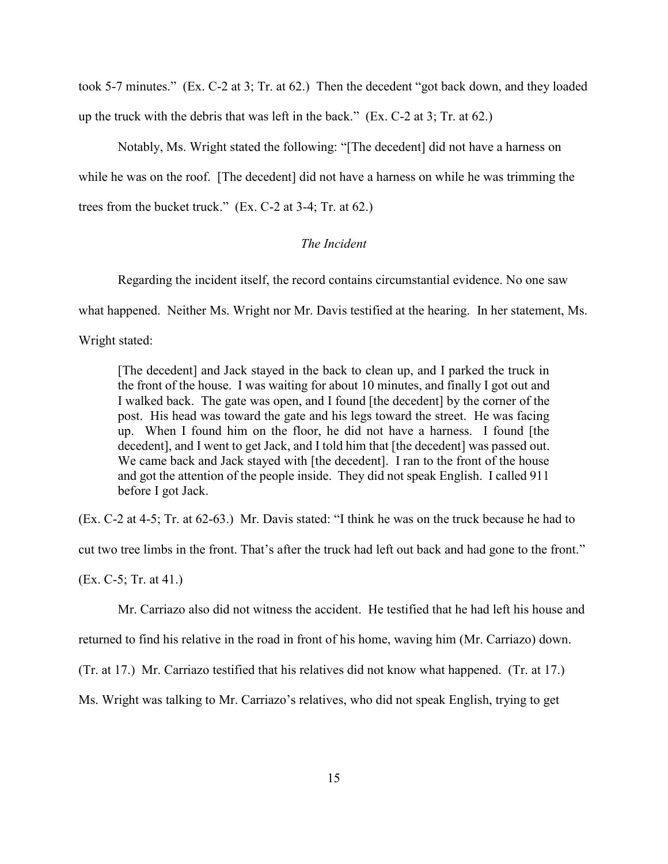took 5-7 minutes." (Ex. C-2 at 3; Tr. at 62.) Then the decedent "got back down, and they loaded up the truck with the debris that was left in the back."  $(Ex. C-2 at 3; Tr. at 62.)$ 

Notably, Ms. Wright stated the following: "[The decedent] did not have a harness on while he was on the roof. [The decedent] did not have a harness on while he was trimming the trees from the bucket truck." (Ex. C-2 at 3-4; Tr. at 62.)

## *The Incident*

Regarding the incident itself, the record contains circumstantial evidence. No one saw

what happened. Neither Ms. Wright nor Mr. Davis testified at the hearing. In her statement, Ms.

Wright stated:

[The decedent] and Jack stayed in the back to clean up, and I parked the truck in the front of the house. I was waiting for about 10 minutes, and finally I got out and I walked back. The gate was open, and I found [the decedent] by the corner of the post. His head was toward the gate and his legs toward the street. He was facing up. When I found him on the floor, he did not have a harness. I found [the decedent], and I went to get Jack, and I told him that [the decedent] was passed out. We came back and Jack stayed with [the decedent]. I ran to the front of the house and got the attention of the people inside. They did not speak English. I called 911 before I got Jack.

(Ex. C-2 at 4-5; Tr. at 62-63.) Mr. Davis stated: "I think he was on the truck because he had to cut two tree limbs in the front. That's after the truck had left out back and had gone to the front." (Ex. C-5; Tr. at 41.)

Mr. Carriazo also did not witness the accident. He testified that he had left his house and

returned to find his relative in the road in front of his home, waving him (Mr. Carriazo) down.

(Tr. at 17.) Mr. Carriazo testified that his relatives did not know what happened. (Tr. at 17.)

Ms. Wright was talking to Mr. Carriazo's relatives, who did not speak English, trying to get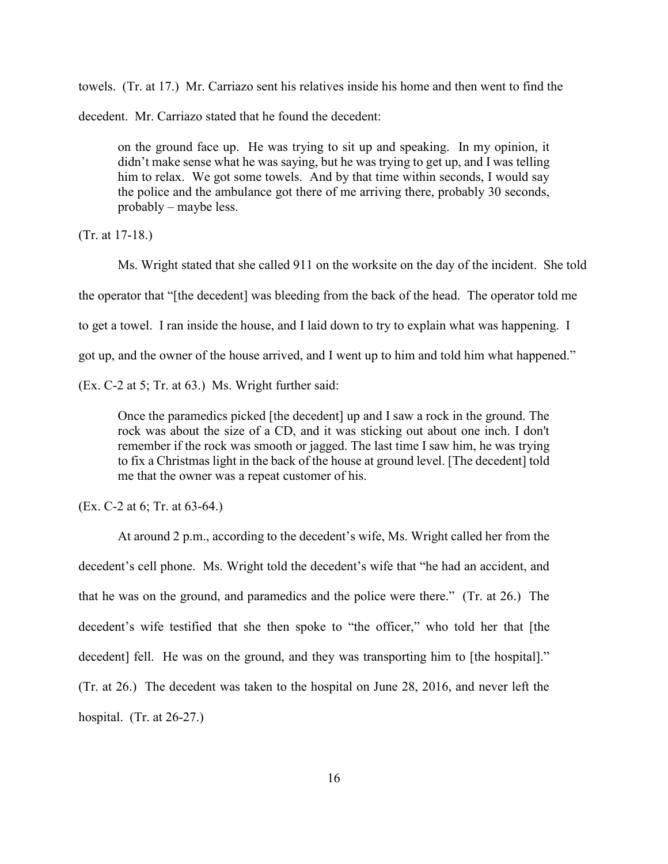towels. (Tr. at 17.) Mr. Carriazo sent his relatives inside his home and then went to find the

decedent. Mr. Carriazo stated that he found the decedent:

on the ground face up. He was trying to sit up and speaking. In my opinion, it didn't make sense what he was saying, but he was trying to get up, and I was telling him to relax. We got some towels. And by that time within seconds, I would say the police and the ambulance got there of me arriving there, probably 30 seconds, probably – maybe less.

(Tr. at 17-18.)

Ms. Wright stated that she called 911 on the worksite on the day of the incident. She told the operator that "[the decedent] was bleeding from the back of the head. The operator told me to get a towel. I ran inside the house, and I laid down to try to explain what was happening. I got up, and the owner of the house arrived, and I went up to him and told him what happened."

(Ex. C-2 at 5; Tr. at 63.) Ms. Wright further said:

Once the paramedics picked [the decedent] up and I saw a rock in the ground. The rock was about the size of a CD, and it was sticking out about one inch. I don't remember if the rock was smooth or jagged. The last time I saw him, he was trying to fix a Christmas light in the back of the house at ground level. [The decedent] told me that the owner was a repeat customer of his.

(Ex. C-2 at 6; Tr. at 63-64.)

At around 2 p.m., according to the decedent's wife, Ms. Wright called her from the decedent's cell phone. Ms. Wright told the decedent's wife that "he had an accident, and that he was on the ground, and paramedics and the police were there." (Tr. at 26.) The decedent's wife testified that she then spoke to "the officer," who told her that [the decedent] fell. He was on the ground, and they was transporting him to [the hospital]." (Tr. at 26.) The decedent was taken to the hospital on June 28, 2016, and never left the hospital. (Tr. at 26-27.)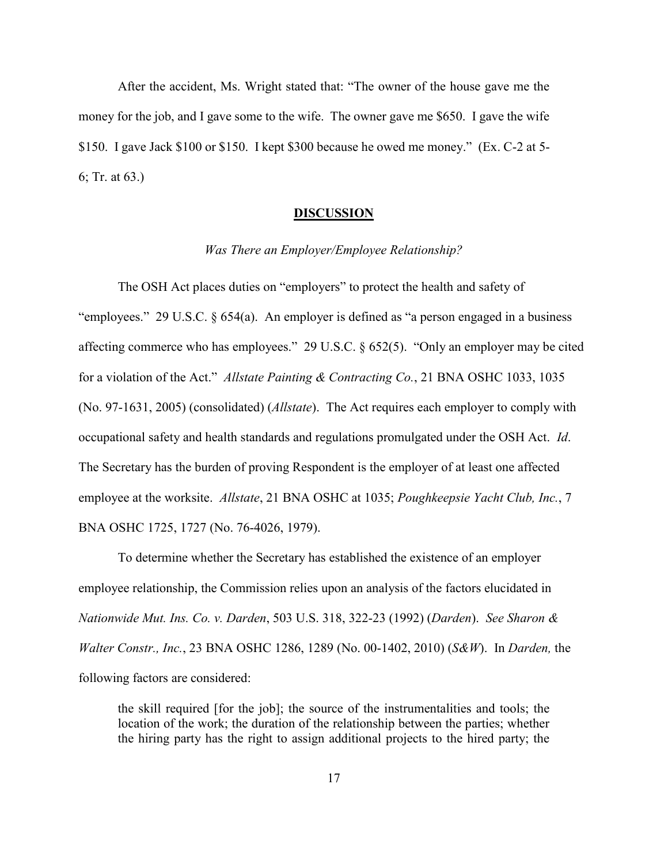After the accident, Ms. Wright stated that: "The owner of the house gave me the money for the job, and I gave some to the wife. The owner gave me \$650. I gave the wife \$150. I gave Jack \$100 or \$150. I kept \$300 because he owed me money." (Ex. C-2 at 5- 6; Tr. at 63.)

#### **DISCUSSION**

### *Was There an Employer/Employee Relationship?*

The OSH Act places duties on "employers" to protect the health and safety of "employees." 29 U.S.C. § 654(a). An employer is defined as "a person engaged in a business affecting commerce who has employees." 29 U.S.C. § 652(5). "Only an employer may be cited for a violation of the Act." *Allstate Painting & Contracting Co.*, 21 BNA OSHC 1033, 1035 (No. 97-1631, 2005) (consolidated) (*Allstate*). The Act requires each employer to comply with occupational safety and health standards and regulations promulgated under the OSH Act. *Id*. The Secretary has the burden of proving Respondent is the employer of at least one affected employee at the worksite. *Allstate*, 21 BNA OSHC at 1035; *Poughkeepsie Yacht Club, Inc.*, 7 BNA OSHC 1725, 1727 (No. 76-4026, 1979).

To determine whether the Secretary has established the existence of an employer employee relationship, the Commission relies upon an analysis of the factors elucidated in *Nationwide Mut. Ins. Co. v. Darden*, 503 U.S. 318, 322-23 (1992) (*Darden*). *See Sharon & Walter Constr., Inc.*, 23 BNA OSHC 1286, 1289 (No. 00-1402, 2010) (*S&W*). In *Darden,* the following factors are considered:

the skill required [for the job]; the source of the instrumentalities and tools; the location of the work; the duration of the relationship between the parties; whether the hiring party has the right to assign additional projects to the hired party; the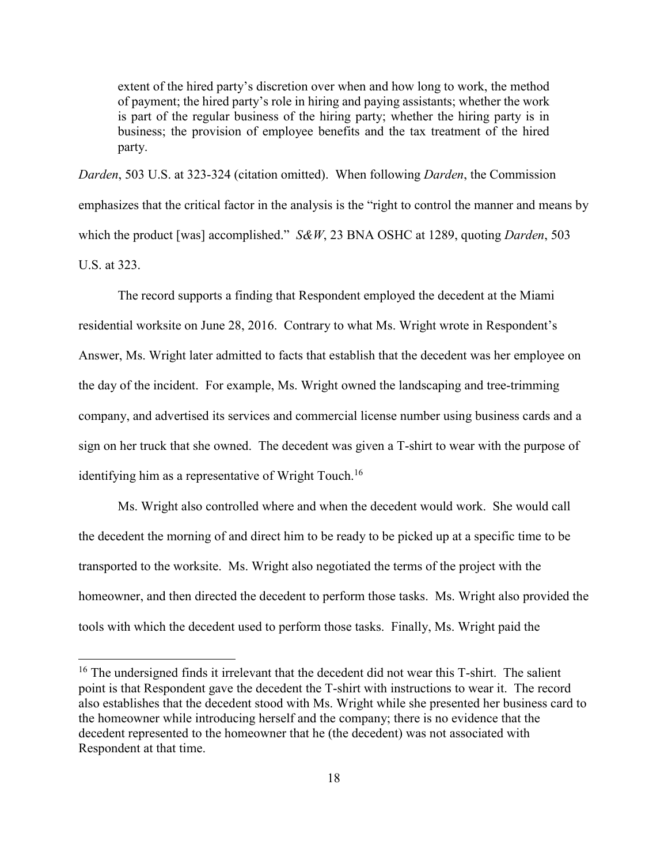extent of the hired party's discretion over when and how long to work, the method of payment; the hired party's role in hiring and paying assistants; whether the work is part of the regular business of the hiring party; whether the hiring party is in business; the provision of employee benefits and the tax treatment of the hired party.

*Darden*, 503 U.S. at 323-324 (citation omitted). When following *Darden*, the Commission emphasizes that the critical factor in the analysis is the "right to control the manner and means by which the product [was] accomplished." *S&W*, 23 BNA OSHC at 1289, quoting *Darden*, 503 U.S. at 323.

The record supports a finding that Respondent employed the decedent at the Miami residential worksite on June 28, 2016. Contrary to what Ms. Wright wrote in Respondent's Answer, Ms. Wright later admitted to facts that establish that the decedent was her employee on the day of the incident. For example, Ms. Wright owned the landscaping and tree-trimming company, and advertised its services and commercial license number using business cards and a sign on her truck that she owned. The decedent was given a T-shirt to wear with the purpose of identifying him as a representative of Wright Touch.<sup>16</sup>

Ms. Wright also controlled where and when the decedent would work. She would call the decedent the morning of and direct him to be ready to be picked up at a specific time to be transported to the worksite. Ms. Wright also negotiated the terms of the project with the homeowner, and then directed the decedent to perform those tasks. Ms. Wright also provided the tools with which the decedent used to perform those tasks. Finally, Ms. Wright paid the

 $16$  The undersigned finds it irrelevant that the decedent did not wear this T-shirt. The salient point is that Respondent gave the decedent the T-shirt with instructions to wear it. The record also establishes that the decedent stood with Ms. Wright while she presented her business card to the homeowner while introducing herself and the company; there is no evidence that the decedent represented to the homeowner that he (the decedent) was not associated with Respondent at that time.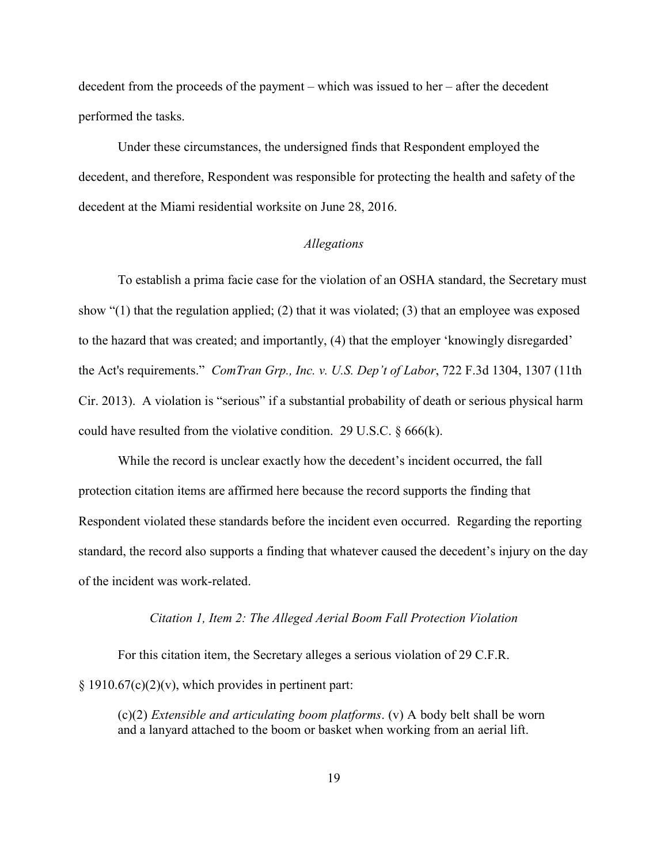decedent from the proceeds of the payment – which was issued to her – after the decedent performed the tasks.

Under these circumstances, the undersigned finds that Respondent employed the decedent, and therefore, Respondent was responsible for protecting the health and safety of the decedent at the Miami residential worksite on June 28, 2016.

### *Allegations*

To establish a prima facie case for the violation of an OSHA standard, the Secretary must show "(1) that the regulation applied; (2) that it was violated; (3) that an employee was exposed to the hazard that was created; and importantly, (4) that the employer 'knowingly disregarded' the Act's requirements." *ComTran Grp., Inc. v. U.S. Dep't of Labor*, 722 F.3d 1304, 1307 (11th Cir. 2013). A violation is "serious" if a substantial probability of death or serious physical harm could have resulted from the violative condition. 29 U.S.C.  $\S 666(k)$ .

While the record is unclear exactly how the decedent's incident occurred, the fall protection citation items are affirmed here because the record supports the finding that Respondent violated these standards before the incident even occurred. Regarding the reporting standard, the record also supports a finding that whatever caused the decedent's injury on the day of the incident was work-related.

### *Citation 1, Item 2: The Alleged Aerial Boom Fall Protection Violation*

For this citation item, the Secretary alleges a serious violation of 29 C.F.R.  $§ 1910.67(c)(2)(v)$ , which provides in pertinent part:

(c)(2) *Extensible and articulating boom platforms*. (v) A body belt shall be worn and a lanyard attached to the boom or basket when working from an aerial lift.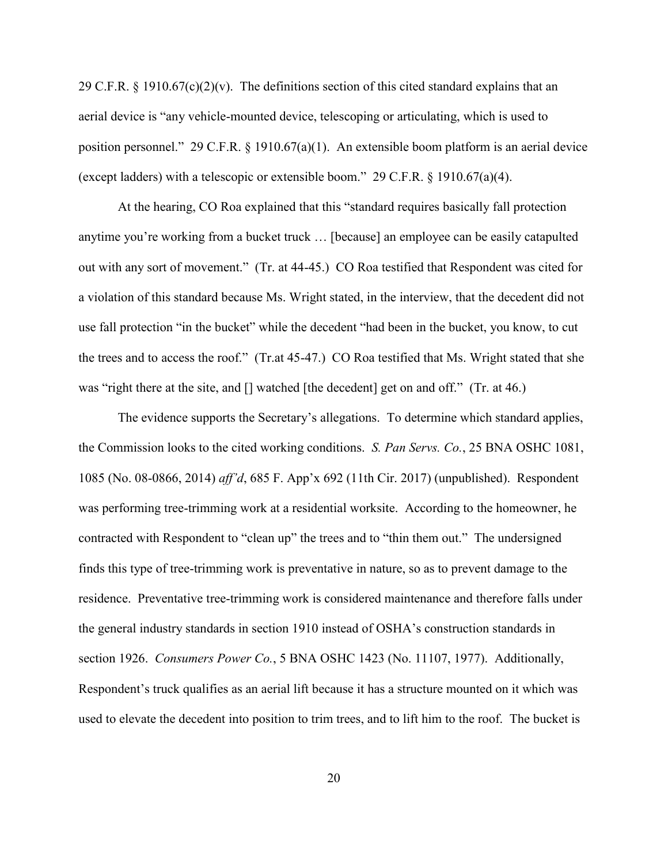29 C.F.R. § 1910.67(c)(2)(v). The definitions section of this cited standard explains that an aerial device is "any vehicle-mounted device, telescoping or articulating, which is used to position personnel." 29 C.F.R. § 1910.67(a)(1). An extensible boom platform is an aerial device (except ladders) with a telescopic or extensible boom." 29 C.F.R. § 1910.67(a)(4).

At the hearing, CO Roa explained that this "standard requires basically fall protection anytime you're working from a bucket truck … [because] an employee can be easily catapulted out with any sort of movement." (Tr. at 44-45.) CO Roa testified that Respondent was cited for a violation of this standard because Ms. Wright stated, in the interview, that the decedent did not use fall protection "in the bucket" while the decedent "had been in the bucket, you know, to cut the trees and to access the roof." (Tr.at 45-47.) CO Roa testified that Ms. Wright stated that she was "right there at the site, and  $\lceil \cdot \rceil$  watched  $\lceil \cdot \rceil$  the decedent get on and off." (Tr. at 46.)

The evidence supports the Secretary's allegations. To determine which standard applies, the Commission looks to the cited working conditions. *S. Pan Servs. Co.*, 25 BNA OSHC 1081, 1085 (No. 08-0866, 2014) *aff'd*, 685 F. App'x 692 (11th Cir. 2017) (unpublished). Respondent was performing tree-trimming work at a residential worksite. According to the homeowner, he contracted with Respondent to "clean up" the trees and to "thin them out." The undersigned finds this type of tree-trimming work is preventative in nature, so as to prevent damage to the residence. Preventative tree-trimming work is considered maintenance and therefore falls under the general industry standards in section 1910 instead of OSHA's construction standards in section 1926. *Consumers Power Co.*, 5 BNA OSHC 1423 (No. 11107, 1977). Additionally, Respondent's truck qualifies as an aerial lift because it has a structure mounted on it which was used to elevate the decedent into position to trim trees, and to lift him to the roof. The bucket is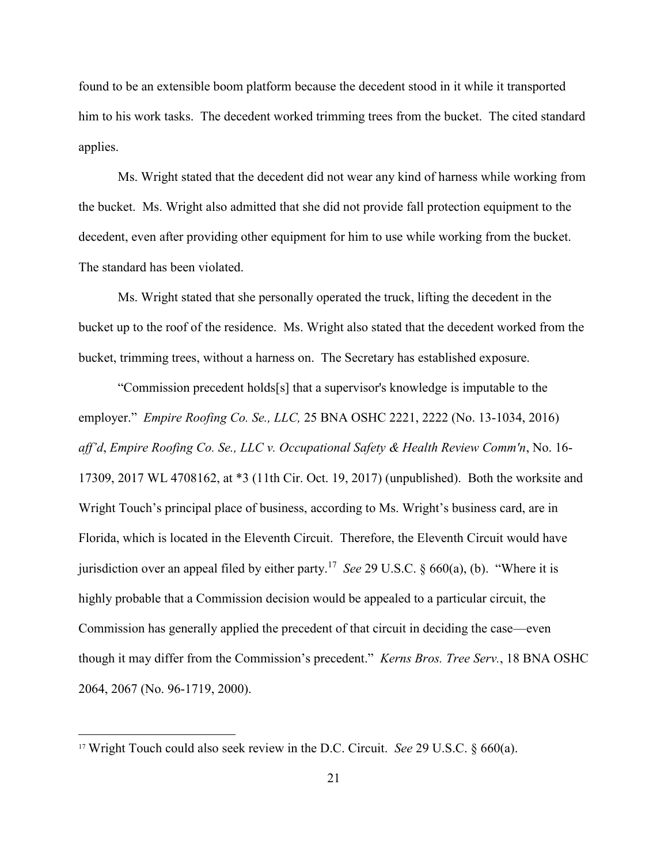found to be an extensible boom platform because the decedent stood in it while it transported him to his work tasks. The decedent worked trimming trees from the bucket. The cited standard applies.

Ms. Wright stated that the decedent did not wear any kind of harness while working from the bucket. Ms. Wright also admitted that she did not provide fall protection equipment to the decedent, even after providing other equipment for him to use while working from the bucket. The standard has been violated.

Ms. Wright stated that she personally operated the truck, lifting the decedent in the bucket up to the roof of the residence. Ms. Wright also stated that the decedent worked from the bucket, trimming trees, without a harness on. The Secretary has established exposure.

"Commission precedent holds[s] that a supervisor's knowledge is imputable to the employer." *Empire Roofing Co. Se., LLC,* 25 BNA OSHC 2221, 2222 (No. 13-1034, 2016) *aff'd*, *Empire Roofing Co. Se., LLC v. Occupational Safety & Health Review Comm'n*, No. 16- 17309, 2017 WL 4708162, at \*3 (11th Cir. Oct. 19, 2017) (unpublished). Both the worksite and Wright Touch's principal place of business, according to Ms. Wright's business card, are in Florida, which is located in the Eleventh Circuit. Therefore, the Eleventh Circuit would have jurisdiction over an appeal filed by either party.<sup>17</sup> *See* 29 U.S.C. § 660(a), (b). "Where it is highly probable that a Commission decision would be appealed to a particular circuit, the Commission has generally applied the precedent of that circuit in deciding the case—even though it may differ from the Commission's precedent." *Kerns Bros. Tree Serv.*, 18 BNA OSHC 2064, 2067 (No. 96-1719, 2000).

<sup>17</sup> Wright Touch could also seek review in the D.C. Circuit. *See* 29 U.S.C. § 660(a).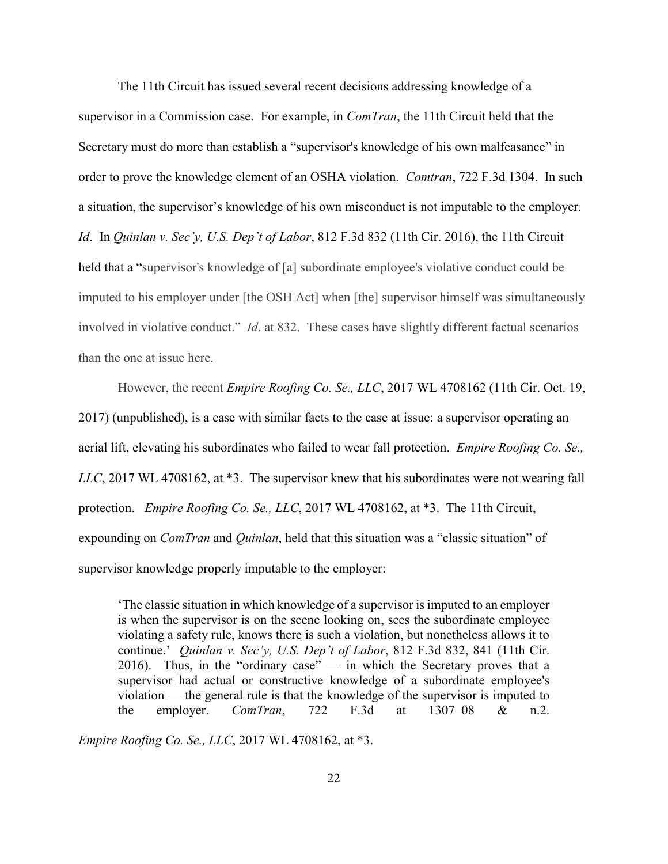The 11th Circuit has issued several recent decisions addressing knowledge of a supervisor in a Commission case. For example, in *ComTran*, the 11th Circuit held that the Secretary must do more than establish a "supervisor's knowledge of his own malfeasance" in order to prove the knowledge element of an OSHA violation. *Comtran*, 722 F.3d 1304. In such a situation, the supervisor's knowledge of his own misconduct is not imputable to the employer. *Id*. In *Quinlan v. Sec'y, U.S. Dep't of Labor*, 812 F.3d 832 (11th Cir. 2016), the 11th Circuit held that a "supervisor's knowledge of [a] subordinate employee's violative conduct could be imputed to his employer under [the OSH Act] when [the] supervisor himself was simultaneously involved in violative conduct." *Id*. at 832. These cases have slightly different factual scenarios than the one at issue here.

However, the recent *Empire Roofing Co. Se., LLC*, 2017 WL 4708162 (11th Cir. Oct. 19, 2017) (unpublished), is a case with similar facts to the case at issue: a supervisor operating an aerial lift, elevating his subordinates who failed to wear fall protection. *Empire Roofing Co. Se., LLC*, 2017 WL 4708162, at \*3. The supervisor knew that his subordinates were not wearing fall protection. *Empire Roofing Co. Se., LLC*, 2017 WL 4708162, at \*3. The 11th Circuit, expounding on *ComTran* and *Quinlan*, held that this situation was a "classic situation" of supervisor knowledge properly imputable to the employer:

'The classic situation in which knowledge of a supervisor is imputed to an employer is when the supervisor is on the scene looking on, sees the subordinate employee violating a safety rule, knows there is such a violation, but nonetheless allows it to continue.' *Quinlan v. Sec'y, U.S. Dep't of Labor*, 812 F.3d 832, 841 (11th Cir. 2016). Thus, in the "ordinary case"  $-$  in which the Secretary proves that a supervisor had actual or constructive knowledge of a subordinate employee's violation — the general rule is that the knowledge of the supervisor is imputed to the employer. *ComTran*, 722 F.3d at 1307–08 & n.2.

*Empire Roofing Co. Se., LLC*, 2017 WL 4708162, at \*3.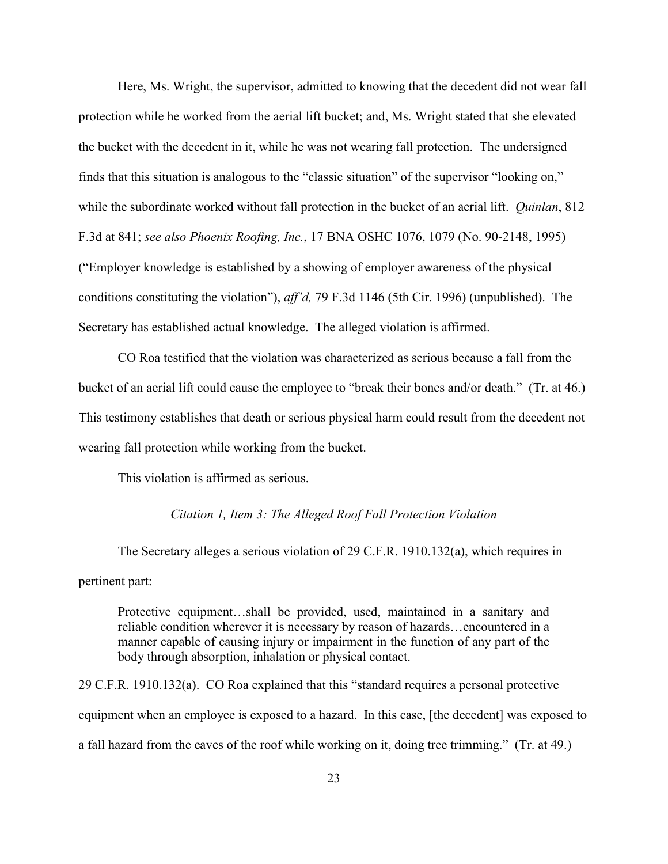Here, Ms. Wright, the supervisor, admitted to knowing that the decedent did not wear fall protection while he worked from the aerial lift bucket; and, Ms. Wright stated that she elevated the bucket with the decedent in it, while he was not wearing fall protection. The undersigned finds that this situation is analogous to the "classic situation" of the supervisor "looking on," while the subordinate worked without fall protection in the bucket of an aerial lift. *Quinlan*, 812 F.3d at 841; *see also Phoenix Roofing, Inc.*, 17 BNA OSHC 1076, 1079 (No. 90-2148, 1995) ("Employer knowledge is established by a showing of employer awareness of the physical conditions constituting the violation"), *aff'd,* 79 F.3d 1146 (5th Cir. 1996) (unpublished). The Secretary has established actual knowledge. The alleged violation is affirmed.

CO Roa testified that the violation was characterized as serious because a fall from the bucket of an aerial lift could cause the employee to "break their bones and/or death." (Tr. at 46.) This testimony establishes that death or serious physical harm could result from the decedent not wearing fall protection while working from the bucket.

This violation is affirmed as serious.

### *Citation 1, Item 3: The Alleged Roof Fall Protection Violation*

The Secretary alleges a serious violation of 29 C.F.R. 1910.132(a), which requires in pertinent part:

Protective equipment…shall be provided, used, maintained in a sanitary and reliable condition wherever it is necessary by reason of hazards…encountered in a manner capable of causing injury or impairment in the function of any part of the body through absorption, inhalation or physical contact.

29 C.F.R. 1910.132(a). CO Roa explained that this "standard requires a personal protective equipment when an employee is exposed to a hazard. In this case, [the decedent] was exposed to a fall hazard from the eaves of the roof while working on it, doing tree trimming." (Tr. at 49.)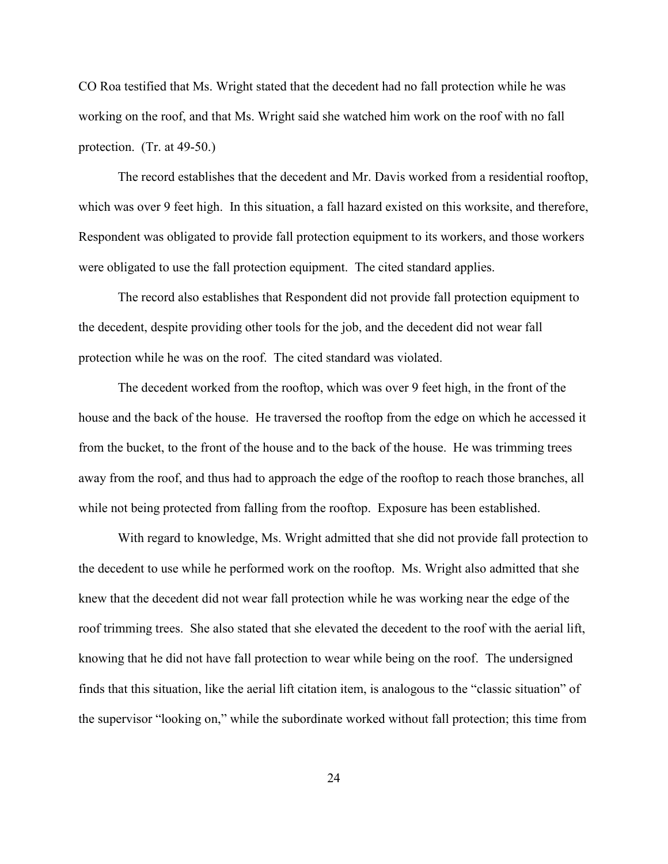CO Roa testified that Ms. Wright stated that the decedent had no fall protection while he was working on the roof, and that Ms. Wright said she watched him work on the roof with no fall protection. (Tr. at 49-50.)

The record establishes that the decedent and Mr. Davis worked from a residential rooftop, which was over 9 feet high. In this situation, a fall hazard existed on this worksite, and therefore, Respondent was obligated to provide fall protection equipment to its workers, and those workers were obligated to use the fall protection equipment. The cited standard applies.

The record also establishes that Respondent did not provide fall protection equipment to the decedent, despite providing other tools for the job, and the decedent did not wear fall protection while he was on the roof. The cited standard was violated.

The decedent worked from the rooftop, which was over 9 feet high, in the front of the house and the back of the house. He traversed the rooftop from the edge on which he accessed it from the bucket, to the front of the house and to the back of the house. He was trimming trees away from the roof, and thus had to approach the edge of the rooftop to reach those branches, all while not being protected from falling from the rooftop. Exposure has been established.

With regard to knowledge, Ms. Wright admitted that she did not provide fall protection to the decedent to use while he performed work on the rooftop. Ms. Wright also admitted that she knew that the decedent did not wear fall protection while he was working near the edge of the roof trimming trees. She also stated that she elevated the decedent to the roof with the aerial lift, knowing that he did not have fall protection to wear while being on the roof. The undersigned finds that this situation, like the aerial lift citation item, is analogous to the "classic situation" of the supervisor "looking on," while the subordinate worked without fall protection; this time from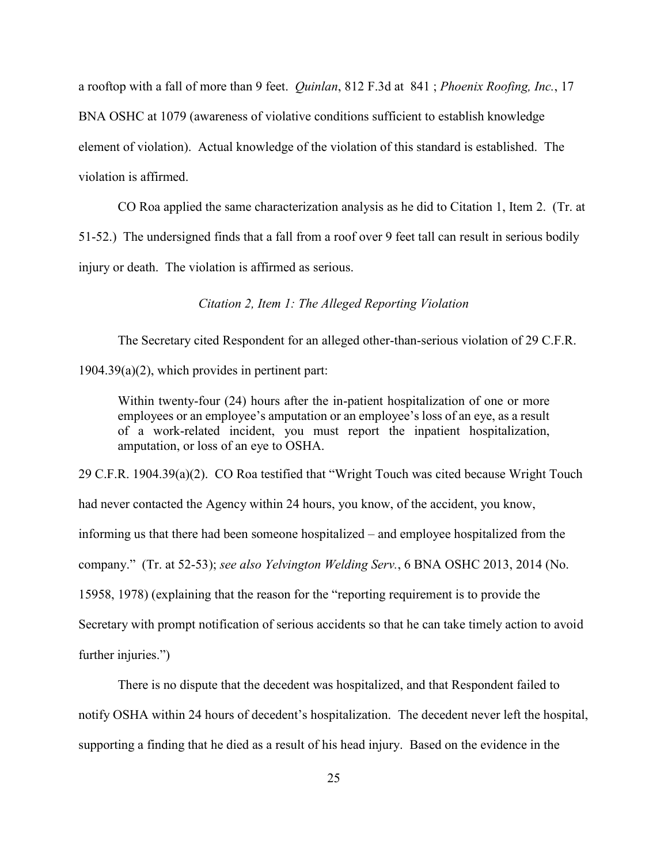a rooftop with a fall of more than 9 feet. *Quinlan*, 812 F.3d at 841 ; *Phoenix Roofing, Inc.*, 17 BNA OSHC at 1079 (awareness of violative conditions sufficient to establish knowledge element of violation). Actual knowledge of the violation of this standard is established. The violation is affirmed.

CO Roa applied the same characterization analysis as he did to Citation 1, Item 2. (Tr. at 51-52.) The undersigned finds that a fall from a roof over 9 feet tall can result in serious bodily injury or death. The violation is affirmed as serious.

*Citation 2, Item 1: The Alleged Reporting Violation*

The Secretary cited Respondent for an alleged other-than-serious violation of 29 C.F.R.

1904.39(a)(2), which provides in pertinent part:

Within twenty-four (24) hours after the in-patient hospitalization of one or more employees or an employee's amputation or an employee's loss of an eye, as a result of a work-related incident, you must report the inpatient hospitalization, amputation, or loss of an eye to OSHA.

29 C.F.R. 1904.39(a)(2). CO Roa testified that "Wright Touch was cited because Wright Touch had never contacted the Agency within 24 hours, you know, of the accident, you know, informing us that there had been someone hospitalized – and employee hospitalized from the company." (Tr. at 52-53); *see also Yelvington Welding Serv.*, 6 BNA OSHC 2013, 2014 (No. 15958, 1978) (explaining that the reason for the "reporting requirement is to provide the Secretary with prompt notification of serious accidents so that he can take timely action to avoid further injuries.")

There is no dispute that the decedent was hospitalized, and that Respondent failed to notify OSHA within 24 hours of decedent's hospitalization. The decedent never left the hospital, supporting a finding that he died as a result of his head injury. Based on the evidence in the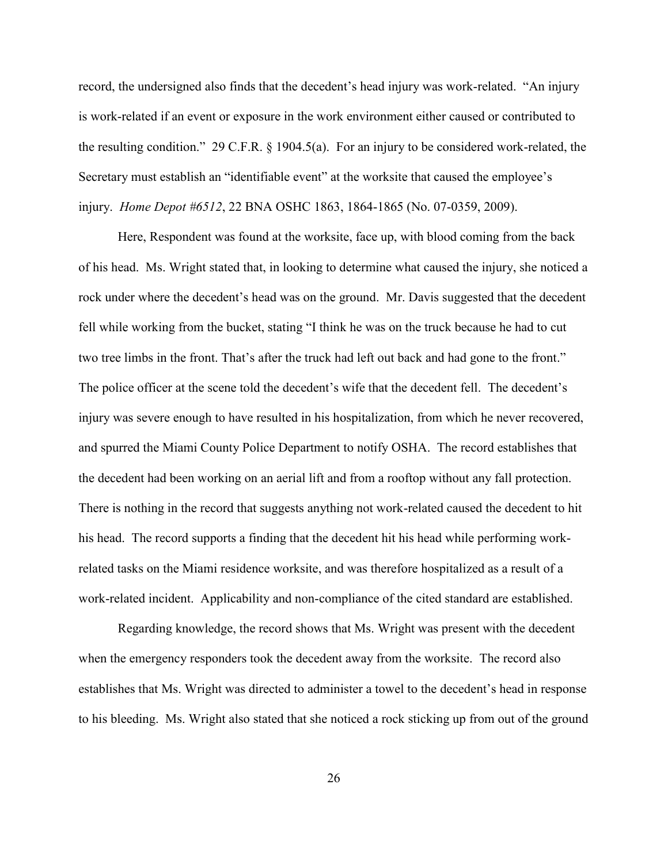record, the undersigned also finds that the decedent's head injury was work-related. "An injury is work-related if an event or exposure in the work environment either caused or contributed to the resulting condition." 29 C.F.R. § 1904.5(a). For an injury to be considered work-related, the Secretary must establish an "identifiable event" at the worksite that caused the employee's injury. *Home Depot #6512*, 22 BNA OSHC 1863, 1864-1865 (No. 07-0359, 2009).

Here, Respondent was found at the worksite, face up, with blood coming from the back of his head. Ms. Wright stated that, in looking to determine what caused the injury, she noticed a rock under where the decedent's head was on the ground. Mr. Davis suggested that the decedent fell while working from the bucket, stating "I think he was on the truck because he had to cut two tree limbs in the front. That's after the truck had left out back and had gone to the front." The police officer at the scene told the decedent's wife that the decedent fell. The decedent's injury was severe enough to have resulted in his hospitalization, from which he never recovered, and spurred the Miami County Police Department to notify OSHA. The record establishes that the decedent had been working on an aerial lift and from a rooftop without any fall protection. There is nothing in the record that suggests anything not work-related caused the decedent to hit his head. The record supports a finding that the decedent hit his head while performing workrelated tasks on the Miami residence worksite, and was therefore hospitalized as a result of a work-related incident. Applicability and non-compliance of the cited standard are established.

Regarding knowledge, the record shows that Ms. Wright was present with the decedent when the emergency responders took the decedent away from the worksite. The record also establishes that Ms. Wright was directed to administer a towel to the decedent's head in response to his bleeding. Ms. Wright also stated that she noticed a rock sticking up from out of the ground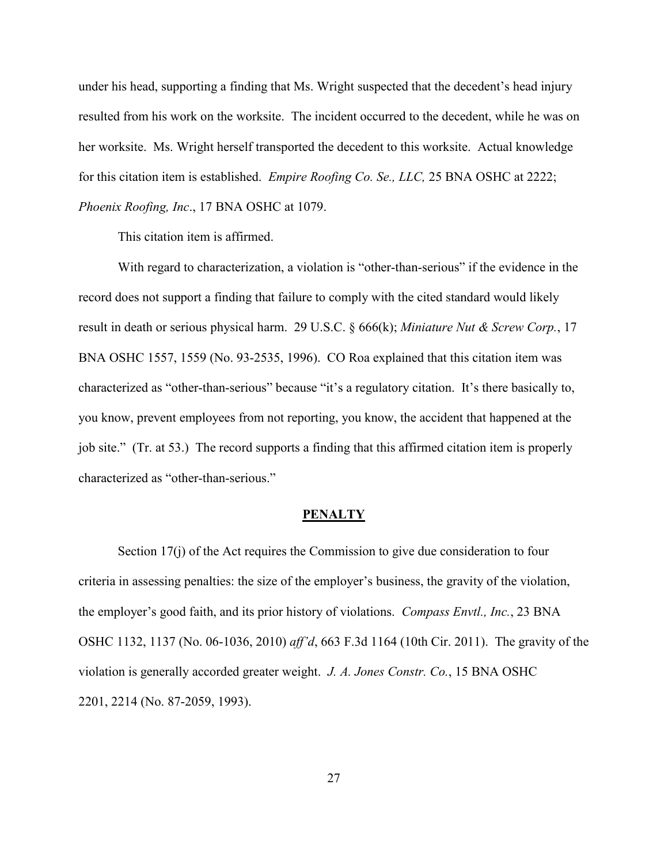under his head, supporting a finding that Ms. Wright suspected that the decedent's head injury resulted from his work on the worksite. The incident occurred to the decedent, while he was on her worksite. Ms. Wright herself transported the decedent to this worksite. Actual knowledge for this citation item is established. *Empire Roofing Co. Se., LLC,* 25 BNA OSHC at 2222; *Phoenix Roofing, Inc*., 17 BNA OSHC at 1079.

This citation item is affirmed.

With regard to characterization, a violation is "other-than-serious" if the evidence in the record does not support a finding that failure to comply with the cited standard would likely result in death or serious physical harm. 29 U.S.C. § 666(k); *Miniature Nut & Screw Corp.*, 17 BNA OSHC 1557, 1559 (No. 93-2535, 1996). CO Roa explained that this citation item was characterized as "other-than-serious" because "it's a regulatory citation. It's there basically to, you know, prevent employees from not reporting, you know, the accident that happened at the job site." (Tr. at 53.) The record supports a finding that this affirmed citation item is properly characterized as "other-than-serious."

#### **PENALTY**

Section 17(j) of the Act requires the Commission to give due consideration to four criteria in assessing penalties: the size of the employer's business, the gravity of the violation, the employer's good faith, and its prior history of violations. *Compass Envtl., Inc.*, 23 BNA OSHC 1132, 1137 (No. 06-1036, 2010) *aff'd*, 663 F.3d 1164 (10th Cir. 2011). The gravity of the violation is generally accorded greater weight. *J. A. Jones Constr. Co.*, 15 BNA OSHC 2201, 2214 (No. 87-2059, 1993).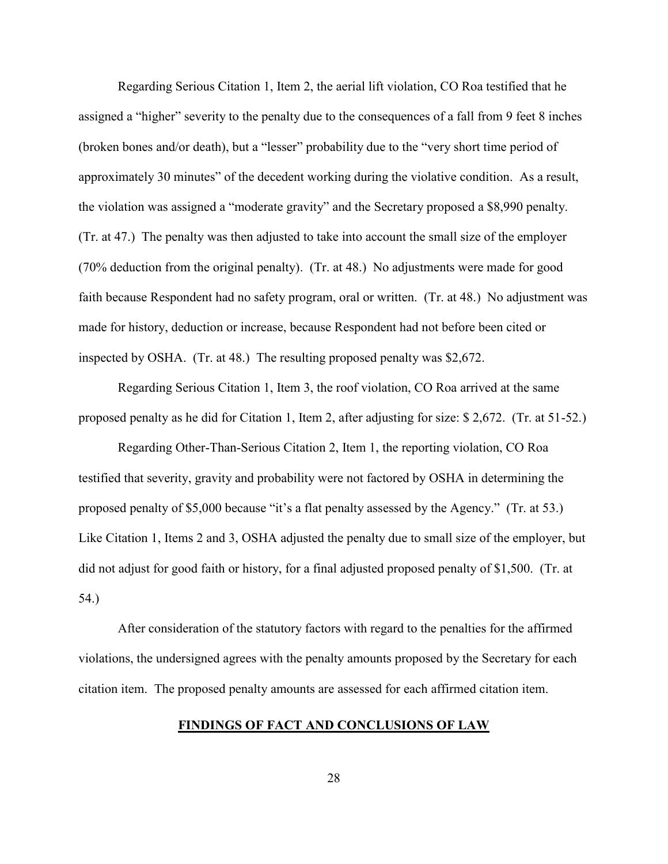Regarding Serious Citation 1, Item 2, the aerial lift violation, CO Roa testified that he assigned a "higher" severity to the penalty due to the consequences of a fall from 9 feet 8 inches (broken bones and/or death), but a "lesser" probability due to the "very short time period of approximately 30 minutes" of the decedent working during the violative condition. As a result, the violation was assigned a "moderate gravity" and the Secretary proposed a \$8,990 penalty. (Tr. at 47.) The penalty was then adjusted to take into account the small size of the employer (70% deduction from the original penalty). (Tr. at 48.) No adjustments were made for good faith because Respondent had no safety program, oral or written. (Tr. at 48.) No adjustment was made for history, deduction or increase, because Respondent had not before been cited or inspected by OSHA. (Tr. at 48.) The resulting proposed penalty was \$2,672.

Regarding Serious Citation 1, Item 3, the roof violation, CO Roa arrived at the same proposed penalty as he did for Citation 1, Item 2, after adjusting for size: \$ 2,672. (Tr. at 51-52.)

Regarding Other-Than-Serious Citation 2, Item 1, the reporting violation, CO Roa testified that severity, gravity and probability were not factored by OSHA in determining the proposed penalty of \$5,000 because "it's a flat penalty assessed by the Agency." (Tr. at 53.) Like Citation 1, Items 2 and 3, OSHA adjusted the penalty due to small size of the employer, but did not adjust for good faith or history, for a final adjusted proposed penalty of \$1,500. (Tr. at 54.)

After consideration of the statutory factors with regard to the penalties for the affirmed violations, the undersigned agrees with the penalty amounts proposed by the Secretary for each citation item. The proposed penalty amounts are assessed for each affirmed citation item.

### **FINDINGS OF FACT AND CONCLUSIONS OF LAW**

28